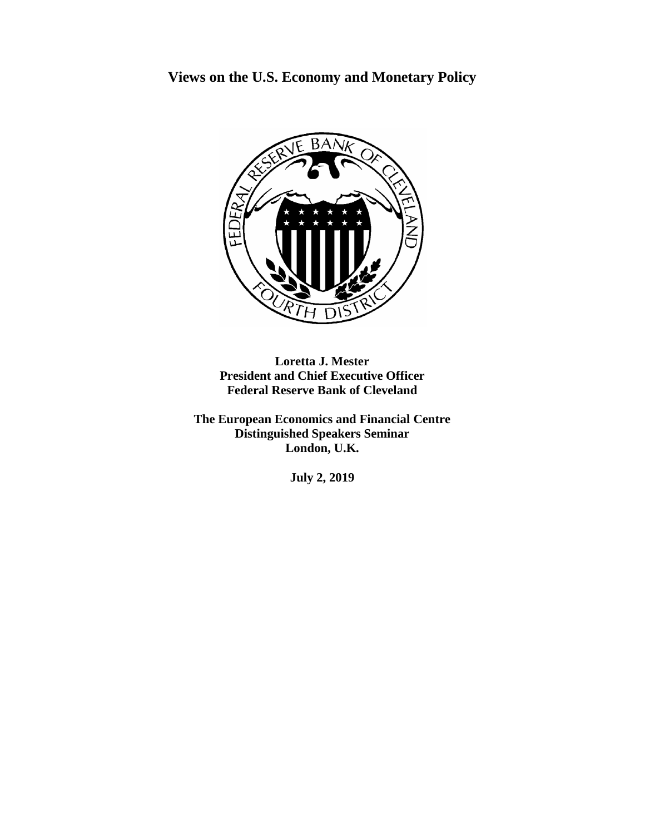**Views on the U.S. Economy and Monetary Policy**



**Loretta J. Mester President and Chief Executive Officer Federal Reserve Bank of Cleveland**

**The European Economics and Financial Centre Distinguished Speakers Seminar London, U.K.**

**July 2, 2019**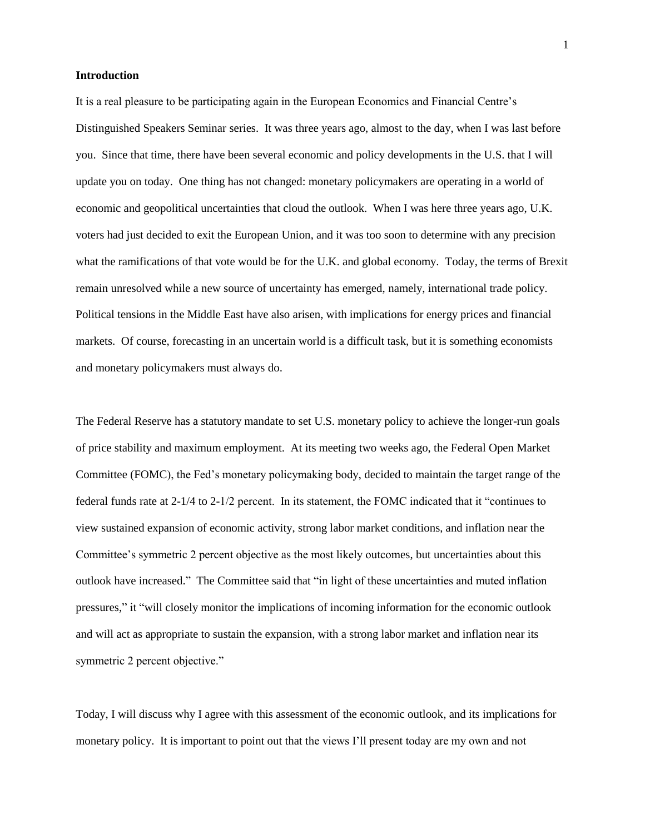## **Introduction**

It is a real pleasure to be participating again in the European Economics and Financial Centre's Distinguished Speakers Seminar series. It was three years ago, almost to the day, when I was last before you. Since that time, there have been several economic and policy developments in the U.S. that I will update you on today. One thing has not changed: monetary policymakers are operating in a world of economic and geopolitical uncertainties that cloud the outlook. When I was here three years ago, U.K. voters had just decided to exit the European Union, and it was too soon to determine with any precision what the ramifications of that vote would be for the U.K. and global economy. Today, the terms of Brexit remain unresolved while a new source of uncertainty has emerged, namely, international trade policy. Political tensions in the Middle East have also arisen, with implications for energy prices and financial markets. Of course, forecasting in an uncertain world is a difficult task, but it is something economists and monetary policymakers must always do.

The Federal Reserve has a statutory mandate to set U.S. monetary policy to achieve the longer-run goals of price stability and maximum employment. At its meeting two weeks ago, the Federal Open Market Committee (FOMC), the Fed's monetary policymaking body, decided to maintain the target range of the federal funds rate at 2-1/4 to 2-1/2 percent. In its statement, the FOMC indicated that it "continues to view sustained expansion of economic activity, strong labor market conditions, and inflation near the Committee's symmetric 2 percent objective as the most likely outcomes, but uncertainties about this outlook have increased." The Committee said that "in light of these uncertainties and muted inflation pressures," it "will closely monitor the implications of incoming information for the economic outlook and will act as appropriate to sustain the expansion, with a strong labor market and inflation near its symmetric 2 percent objective."

Today, I will discuss why I agree with this assessment of the economic outlook, and its implications for monetary policy. It is important to point out that the views I'll present today are my own and not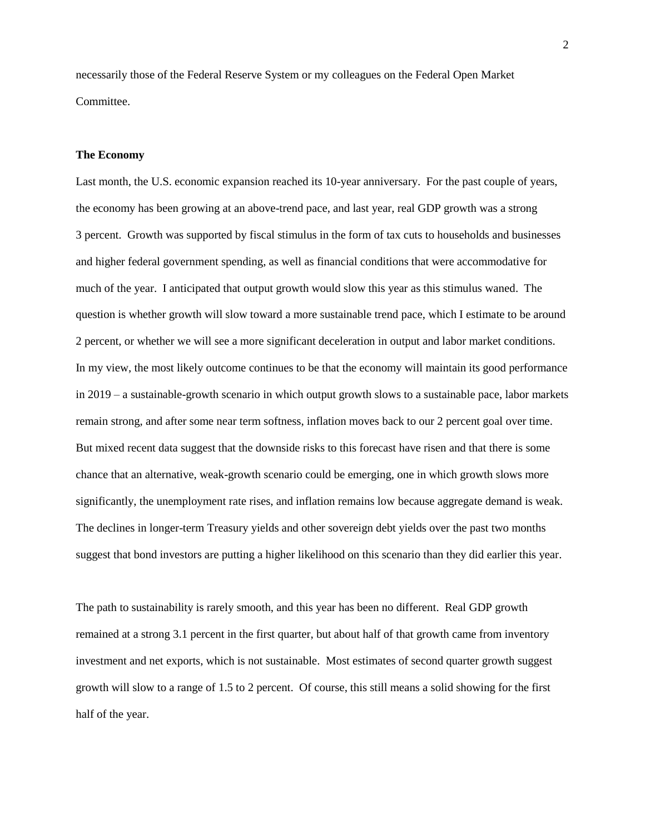necessarily those of the Federal Reserve System or my colleagues on the Federal Open Market Committee.

## **The Economy**

Last month, the U.S. economic expansion reached its 10-year anniversary. For the past couple of years, the economy has been growing at an above-trend pace, and last year, real GDP growth was a strong 3 percent. Growth was supported by fiscal stimulus in the form of tax cuts to households and businesses and higher federal government spending, as well as financial conditions that were accommodative for much of the year. I anticipated that output growth would slow this year as this stimulus waned. The question is whether growth will slow toward a more sustainable trend pace, which I estimate to be around 2 percent, or whether we will see a more significant deceleration in output and labor market conditions. In my view, the most likely outcome continues to be that the economy will maintain its good performance in 2019 – a sustainable-growth scenario in which output growth slows to a sustainable pace, labor markets remain strong, and after some near term softness, inflation moves back to our 2 percent goal over time. But mixed recent data suggest that the downside risks to this forecast have risen and that there is some chance that an alternative, weak-growth scenario could be emerging, one in which growth slows more significantly, the unemployment rate rises, and inflation remains low because aggregate demand is weak. The declines in longer-term Treasury yields and other sovereign debt yields over the past two months suggest that bond investors are putting a higher likelihood on this scenario than they did earlier this year.

The path to sustainability is rarely smooth, and this year has been no different. Real GDP growth remained at a strong 3.1 percent in the first quarter, but about half of that growth came from inventory investment and net exports, which is not sustainable. Most estimates of second quarter growth suggest growth will slow to a range of 1.5 to 2 percent. Of course, this still means a solid showing for the first half of the year.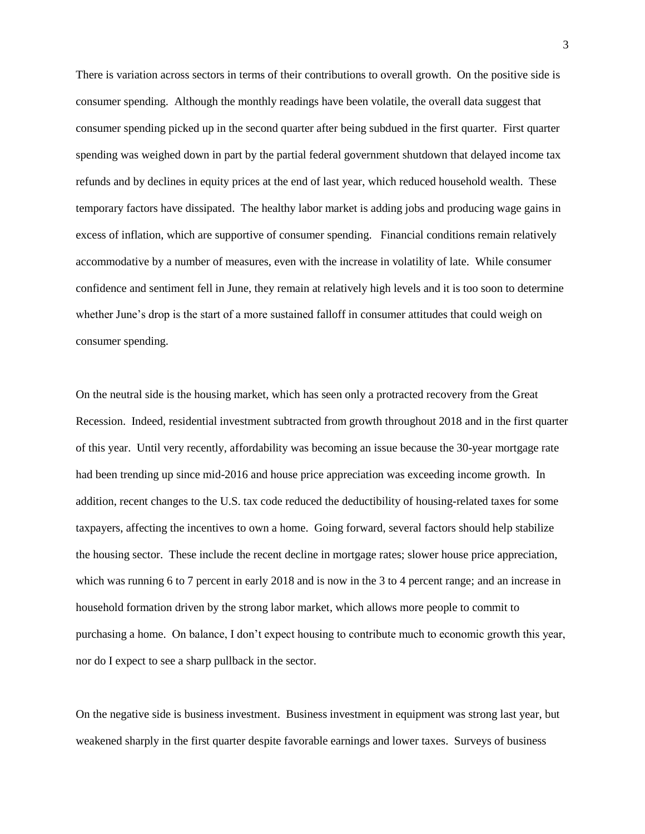There is variation across sectors in terms of their contributions to overall growth. On the positive side is consumer spending. Although the monthly readings have been volatile, the overall data suggest that consumer spending picked up in the second quarter after being subdued in the first quarter. First quarter spending was weighed down in part by the partial federal government shutdown that delayed income tax refunds and by declines in equity prices at the end of last year, which reduced household wealth. These temporary factors have dissipated. The healthy labor market is adding jobs and producing wage gains in excess of inflation, which are supportive of consumer spending. Financial conditions remain relatively accommodative by a number of measures, even with the increase in volatility of late. While consumer confidence and sentiment fell in June, they remain at relatively high levels and it is too soon to determine whether June's drop is the start of a more sustained falloff in consumer attitudes that could weigh on consumer spending.

On the neutral side is the housing market, which has seen only a protracted recovery from the Great Recession. Indeed, residential investment subtracted from growth throughout 2018 and in the first quarter of this year. Until very recently, affordability was becoming an issue because the 30-year mortgage rate had been trending up since mid-2016 and house price appreciation was exceeding income growth. In addition, recent changes to the U.S. tax code reduced the deductibility of housing-related taxes for some taxpayers, affecting the incentives to own a home. Going forward, several factors should help stabilize the housing sector. These include the recent decline in mortgage rates; slower house price appreciation, which was running 6 to 7 percent in early 2018 and is now in the 3 to 4 percent range; and an increase in household formation driven by the strong labor market, which allows more people to commit to purchasing a home. On balance, I don't expect housing to contribute much to economic growth this year, nor do I expect to see a sharp pullback in the sector.

On the negative side is business investment. Business investment in equipment was strong last year, but weakened sharply in the first quarter despite favorable earnings and lower taxes. Surveys of business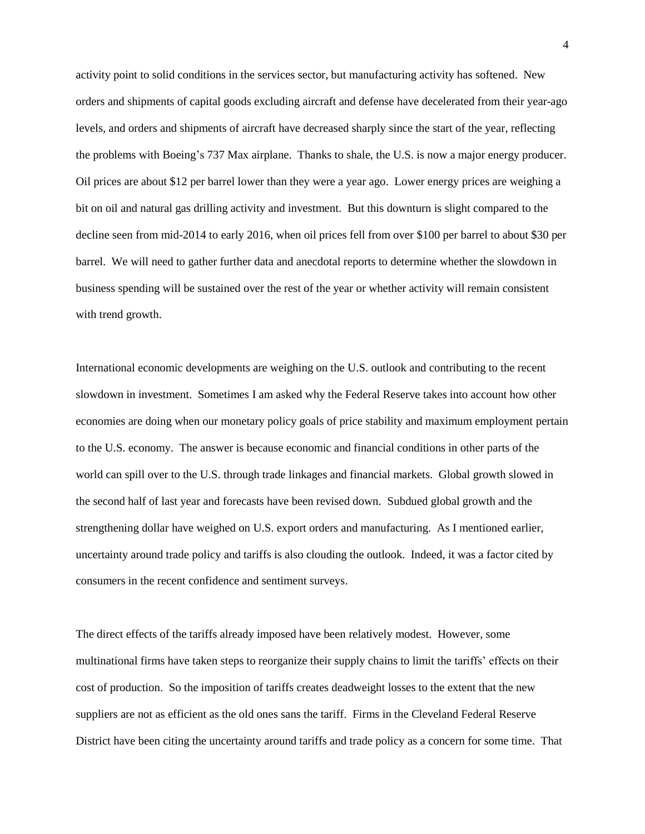activity point to solid conditions in the services sector, but manufacturing activity has softened. New orders and shipments of capital goods excluding aircraft and defense have decelerated from their year-ago levels, and orders and shipments of aircraft have decreased sharply since the start of the year, reflecting the problems with Boeing's 737 Max airplane. Thanks to shale, the U.S. is now a major energy producer. Oil prices are about \$12 per barrel lower than they were a year ago. Lower energy prices are weighing a bit on oil and natural gas drilling activity and investment. But this downturn is slight compared to the decline seen from mid-2014 to early 2016, when oil prices fell from over \$100 per barrel to about \$30 per barrel. We will need to gather further data and anecdotal reports to determine whether the slowdown in business spending will be sustained over the rest of the year or whether activity will remain consistent with trend growth.

International economic developments are weighing on the U.S. outlook and contributing to the recent slowdown in investment. Sometimes I am asked why the Federal Reserve takes into account how other economies are doing when our monetary policy goals of price stability and maximum employment pertain to the U.S. economy. The answer is because economic and financial conditions in other parts of the world can spill over to the U.S. through trade linkages and financial markets. Global growth slowed in the second half of last year and forecasts have been revised down. Subdued global growth and the strengthening dollar have weighed on U.S. export orders and manufacturing. As I mentioned earlier, uncertainty around trade policy and tariffs is also clouding the outlook. Indeed, it was a factor cited by consumers in the recent confidence and sentiment surveys.

The direct effects of the tariffs already imposed have been relatively modest. However, some multinational firms have taken steps to reorganize their supply chains to limit the tariffs' effects on their cost of production. So the imposition of tariffs creates deadweight losses to the extent that the new suppliers are not as efficient as the old ones sans the tariff. Firms in the Cleveland Federal Reserve District have been citing the uncertainty around tariffs and trade policy as a concern for some time. That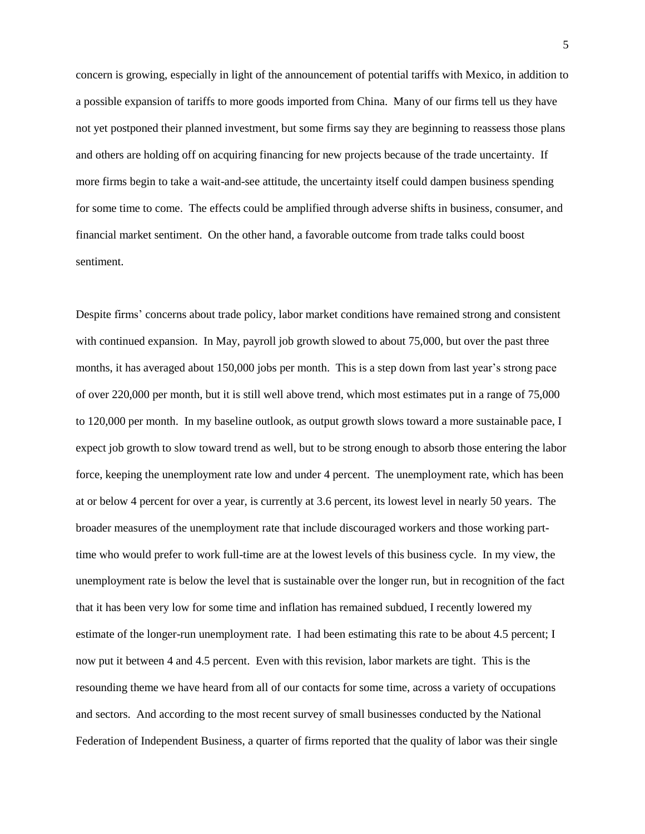concern is growing, especially in light of the announcement of potential tariffs with Mexico, in addition to a possible expansion of tariffs to more goods imported from China. Many of our firms tell us they have not yet postponed their planned investment, but some firms say they are beginning to reassess those plans and others are holding off on acquiring financing for new projects because of the trade uncertainty. If more firms begin to take a wait-and-see attitude, the uncertainty itself could dampen business spending for some time to come. The effects could be amplified through adverse shifts in business, consumer, and financial market sentiment. On the other hand, a favorable outcome from trade talks could boost sentiment.

Despite firms' concerns about trade policy, labor market conditions have remained strong and consistent with continued expansion. In May, payroll job growth slowed to about 75,000, but over the past three months, it has averaged about 150,000 jobs per month. This is a step down from last year's strong pace of over 220,000 per month, but it is still well above trend, which most estimates put in a range of 75,000 to 120,000 per month. In my baseline outlook, as output growth slows toward a more sustainable pace, I expect job growth to slow toward trend as well, but to be strong enough to absorb those entering the labor force, keeping the unemployment rate low and under 4 percent. The unemployment rate, which has been at or below 4 percent for over a year, is currently at 3.6 percent, its lowest level in nearly 50 years. The broader measures of the unemployment rate that include discouraged workers and those working parttime who would prefer to work full-time are at the lowest levels of this business cycle. In my view, the unemployment rate is below the level that is sustainable over the longer run, but in recognition of the fact that it has been very low for some time and inflation has remained subdued, I recently lowered my estimate of the longer-run unemployment rate. I had been estimating this rate to be about 4.5 percent; I now put it between 4 and 4.5 percent. Even with this revision, labor markets are tight. This is the resounding theme we have heard from all of our contacts for some time, across a variety of occupations and sectors. And according to the most recent survey of small businesses conducted by the National Federation of Independent Business, a quarter of firms reported that the quality of labor was their single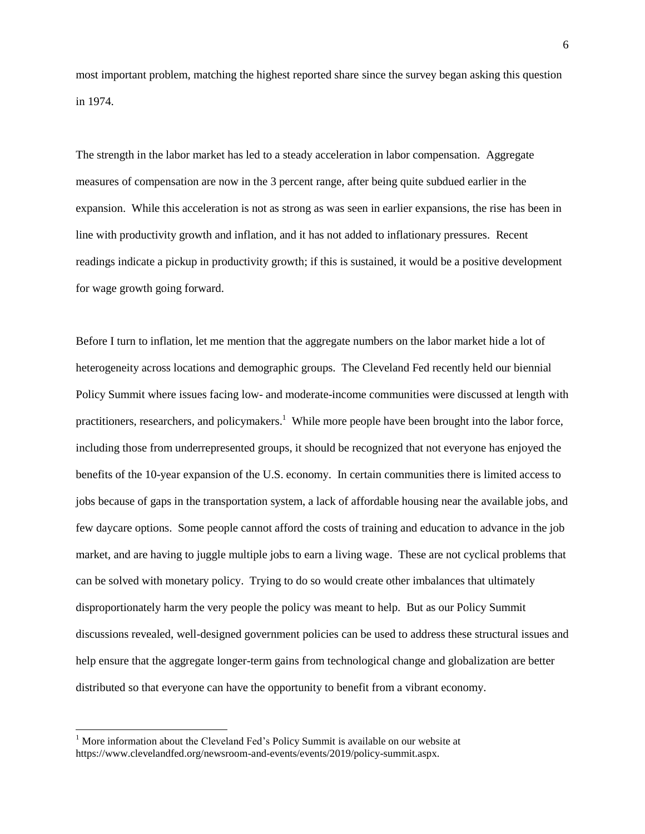most important problem, matching the highest reported share since the survey began asking this question in 1974.

The strength in the labor market has led to a steady acceleration in labor compensation. Aggregate measures of compensation are now in the 3 percent range, after being quite subdued earlier in the expansion. While this acceleration is not as strong as was seen in earlier expansions, the rise has been in line with productivity growth and inflation, and it has not added to inflationary pressures. Recent readings indicate a pickup in productivity growth; if this is sustained, it would be a positive development for wage growth going forward.

Before I turn to inflation, let me mention that the aggregate numbers on the labor market hide a lot of heterogeneity across locations and demographic groups. The Cleveland Fed recently held our biennial Policy Summit where issues facing low- and moderate-income communities were discussed at length with practitioners, researchers, and policymakers.<sup>1</sup> While more people have been brought into the labor force, including those from underrepresented groups, it should be recognized that not everyone has enjoyed the benefits of the 10-year expansion of the U.S. economy. In certain communities there is limited access to jobs because of gaps in the transportation system, a lack of affordable housing near the available jobs, and few daycare options. Some people cannot afford the costs of training and education to advance in the job market, and are having to juggle multiple jobs to earn a living wage. These are not cyclical problems that can be solved with monetary policy. Trying to do so would create other imbalances that ultimately disproportionately harm the very people the policy was meant to help. But as our Policy Summit discussions revealed, well-designed government policies can be used to address these structural issues and help ensure that the aggregate longer-term gains from technological change and globalization are better distributed so that everyone can have the opportunity to benefit from a vibrant economy.

l

<sup>&</sup>lt;sup>1</sup> More information about the Cleveland Fed's Policy Summit is available on our website at https://www.clevelandfed.org/newsroom-and-events/events/2019/policy-summit.aspx.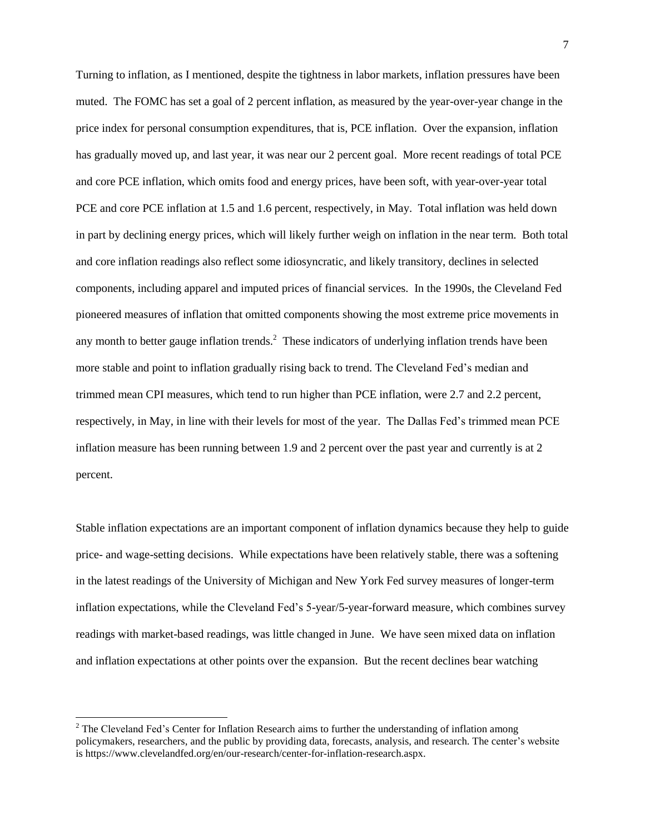Turning to inflation, as I mentioned, despite the tightness in labor markets, inflation pressures have been muted. The FOMC has set a goal of 2 percent inflation, as measured by the year-over-year change in the price index for personal consumption expenditures, that is, PCE inflation. Over the expansion, inflation has gradually moved up, and last year, it was near our 2 percent goal. More recent readings of total PCE and core PCE inflation, which omits food and energy prices, have been soft, with year-over-year total PCE and core PCE inflation at 1.5 and 1.6 percent, respectively, in May. Total inflation was held down in part by declining energy prices, which will likely further weigh on inflation in the near term. Both total and core inflation readings also reflect some idiosyncratic, and likely transitory, declines in selected components, including apparel and imputed prices of financial services. In the 1990s, the Cleveland Fed pioneered measures of inflation that omitted components showing the most extreme price movements in any month to better gauge inflation trends. $<sup>2</sup>$  These indicators of underlying inflation trends have been</sup> more stable and point to inflation gradually rising back to trend. The Cleveland Fed's median and trimmed mean CPI measures, which tend to run higher than PCE inflation, were 2.7 and 2.2 percent, respectively, in May, in line with their levels for most of the year. The Dallas Fed's trimmed mean PCE inflation measure has been running between 1.9 and 2 percent over the past year and currently is at 2 percent.

Stable inflation expectations are an important component of inflation dynamics because they help to guide price- and wage-setting decisions. While expectations have been relatively stable, there was a softening in the latest readings of the University of Michigan and New York Fed survey measures of longer-term inflation expectations, while the Cleveland Fed's 5-year/5-year-forward measure, which combines survey readings with market-based readings, was little changed in June. We have seen mixed data on inflation and inflation expectations at other points over the expansion. But the recent declines bear watching

 $\overline{a}$ 

<sup>&</sup>lt;sup>2</sup> The Cleveland Fed's Center for Inflation Research aims to further the understanding of inflation among policymakers, researchers, and the public by providing data, forecasts, analysis, and research. The center's website is https://www.clevelandfed.org/en/our-research/center-for-inflation-research.aspx.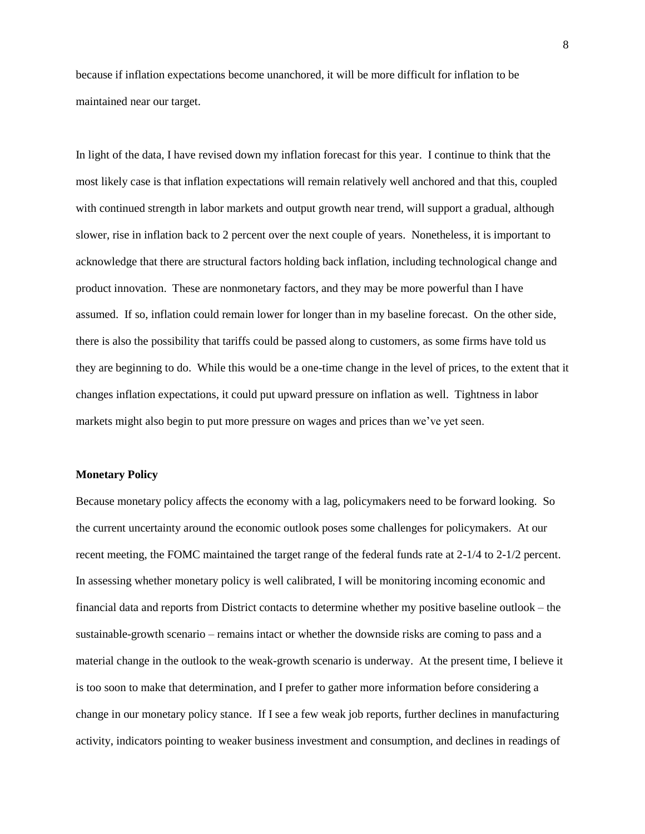because if inflation expectations become unanchored, it will be more difficult for inflation to be maintained near our target.

In light of the data, I have revised down my inflation forecast for this year. I continue to think that the most likely case is that inflation expectations will remain relatively well anchored and that this, coupled with continued strength in labor markets and output growth near trend, will support a gradual, although slower, rise in inflation back to 2 percent over the next couple of years. Nonetheless, it is important to acknowledge that there are structural factors holding back inflation, including technological change and product innovation. These are nonmonetary factors, and they may be more powerful than I have assumed. If so, inflation could remain lower for longer than in my baseline forecast. On the other side, there is also the possibility that tariffs could be passed along to customers, as some firms have told us they are beginning to do. While this would be a one-time change in the level of prices, to the extent that it changes inflation expectations, it could put upward pressure on inflation as well. Tightness in labor markets might also begin to put more pressure on wages and prices than we've yet seen.

## **Monetary Policy**

Because monetary policy affects the economy with a lag, policymakers need to be forward looking. So the current uncertainty around the economic outlook poses some challenges for policymakers. At our recent meeting, the FOMC maintained the target range of the federal funds rate at 2-1/4 to 2-1/2 percent. In assessing whether monetary policy is well calibrated, I will be monitoring incoming economic and financial data and reports from District contacts to determine whether my positive baseline outlook – the sustainable-growth scenario – remains intact or whether the downside risks are coming to pass and a material change in the outlook to the weak-growth scenario is underway. At the present time, I believe it is too soon to make that determination, and I prefer to gather more information before considering a change in our monetary policy stance. If I see a few weak job reports, further declines in manufacturing activity, indicators pointing to weaker business investment and consumption, and declines in readings of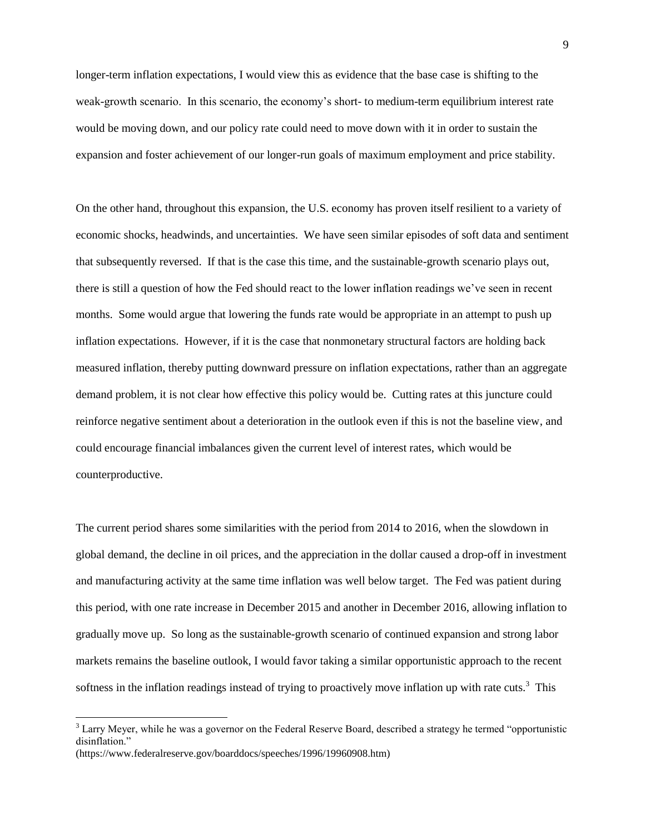longer-term inflation expectations, I would view this as evidence that the base case is shifting to the weak-growth scenario. In this scenario, the economy's short- to medium-term equilibrium interest rate would be moving down, and our policy rate could need to move down with it in order to sustain the expansion and foster achievement of our longer-run goals of maximum employment and price stability.

On the other hand, throughout this expansion, the U.S. economy has proven itself resilient to a variety of economic shocks, headwinds, and uncertainties. We have seen similar episodes of soft data and sentiment that subsequently reversed. If that is the case this time, and the sustainable-growth scenario plays out, there is still a question of how the Fed should react to the lower inflation readings we've seen in recent months. Some would argue that lowering the funds rate would be appropriate in an attempt to push up inflation expectations. However, if it is the case that nonmonetary structural factors are holding back measured inflation, thereby putting downward pressure on inflation expectations, rather than an aggregate demand problem, it is not clear how effective this policy would be. Cutting rates at this juncture could reinforce negative sentiment about a deterioration in the outlook even if this is not the baseline view, and could encourage financial imbalances given the current level of interest rates, which would be counterproductive.

The current period shares some similarities with the period from 2014 to 2016, when the slowdown in global demand, the decline in oil prices, and the appreciation in the dollar caused a drop-off in investment and manufacturing activity at the same time inflation was well below target. The Fed was patient during this period, with one rate increase in December 2015 and another in December 2016, allowing inflation to gradually move up. So long as the sustainable-growth scenario of continued expansion and strong labor markets remains the baseline outlook, I would favor taking a similar opportunistic approach to the recent softness in the inflation readings instead of trying to proactively move inflation up with rate cuts.<sup>3</sup> This

 $\overline{a}$ 

 $3$  Larry Meyer, while he was a governor on the Federal Reserve Board, described a strategy he termed "opportunistic disinflation."